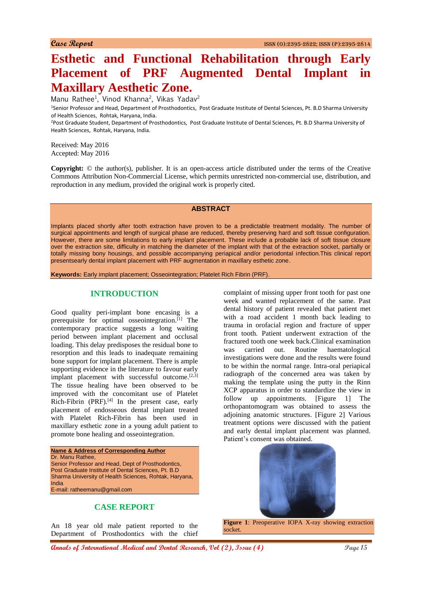# **Esthetic and Functional Rehabilitation through Early Placement of PRF Augmented Dental Implant in Maxillary Aesthetic Zone.**

Manu Rathee<sup>1</sup>, Vinod Khanna<sup>2</sup>, Vikas Yadav<sup>2</sup>

<sup>1</sup>Senior Professor and Head, Department of Prosthodontics, Post Graduate Institute of Dental Sciences, Pt. B.D Sharma University of Health Sciences, Rohtak, Haryana, India.

<sup>2</sup>Post Graduate Student, Department of Prosthodontics, Post Graduate Institute of Dental Sciences, Pt. B.D Sharma University of Health Sciences, Rohtak, Haryana, India.

Received: May 2016 Accepted: May 2016

**Copyright:** © the author(s), publisher. It is an open-access article distributed under the terms of the Creative Commons Attribution Non-Commercial License, which permits unrestricted non-commercial use, distribution, and reproduction in any medium, provided the original work is properly cited.

#### **ABSTRACT**

Implants placed shortly after tooth extraction have proven to be a predictable treatment modality. The number of surgical appointments and length of surgical phase are reduced, thereby preserving hard and soft tissue configuration. However, there are some limitations to early implant placement. These include a probable lack of soft tissue closure over the extraction site, difficulty in matching the diameter of the implant with that of the extraction socket, partially or totally missing bony housings, and possible accompanying periapical and/or periodontal infection.This clinical report presentsearly dental implant placement with PRF augmentation in maxillary esthetic zone.

**Keywords:** Early implant placement; Osseointegration; Platelet Rich Fibrin (PRF).

#### **INTRODUCTION**

Good quality peri-implant bone encasing is a prerequisite for optimal osseointegration.<sup>[1]</sup> The contemporary practice suggests a long waiting period between implant placement and occlusal loading. This delay predisposes the residual bone to resorption and this leads to inadequate remaining bone support for implant placement. There is ample supporting evidence in the literature to favour early implant placement with successful outcome. $[2,3]$ The tissue healing have been observed to be improved with the concomitant use of Platelet Rich-Fibrin (PRF).<sup>[4]</sup> In the present case, early placement of endosseous dental implant treated with Platelet Rich-Fibrin has been used in maxillary esthetic zone in a young adult patient to promote bone healing and osseointegration.

**Name & Address of Corresponding Author** Dr. Manu Rathee, Senior Professor and Head, Dept of Prosthodontics, Post Graduate Institute of Dental Sciences, Pt. B.D Sharma University of Health Sciences, Rohtak, Haryana, India E-mail: ratheemanu@gmail.com

# **CASE REPORT**

An 18 year old male patient reported to the Department of Prosthodontics with the chief complaint of missing upper front tooth for past one week and wanted replacement of the same. Past dental history of patient revealed that patient met with a road accident 1 month back leading to trauma in orofacial region and fracture of upper front tooth. Patient underwent extraction of the fractured tooth one week back.Clinical examination was carried out. Routine haematological investigations were done and the results were found to be within the normal range. Intra-oral periapical radiograph of the concerned area was taken by making the template using the putty in the Rinn XCP apparatus in order to standardize the view in follow up appointments. [Figure 1] The orthopantomogram was obtained to assess the adjoining anatomic structures. [Figure 2] Various treatment options were discussed with the patient and early dental implant placement was planned. Patient's consent was obtained.



**Figure 1**: Preoperative IOPA X-ray showing extraction socket.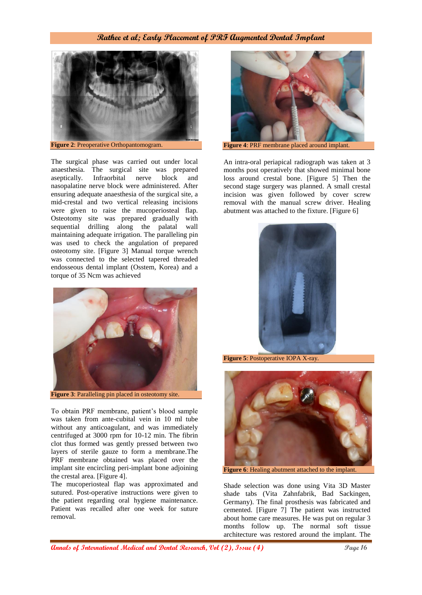## **Rathee et al; Early Placement of PRF Augmented Dental Implant**



**Figure 2**: Preoperative Orthopantomogram.

The surgical phase was carried out under local anaesthesia. The surgical site was prepared aseptically. Infraorbital nerve block and nasopalatine nerve block were administered. After ensuring adequate anaesthesia of the surgical site, a mid-crestal and two vertical releasing incisions were given to raise the mucoperiosteal flap. Osteotomy site was prepared gradually with sequential drilling along the palatal wall maintaining adequate irrigation. The paralleling pin was used to check the angulation of prepared osteotomy site. [Figure 3] Manual torque wrench was connected to the selected tapered threaded endosseous dental implant (Osstem, Korea) and a torque of 35 Ncm was achieved



**Figure 3**: Paralleling pin placed in osteotomy site.

To obtain PRF membrane, patient's blood sample was taken from ante-cubital vein in 10 ml tube without any anticoagulant, and was immediately centrifuged at 3000 rpm for 10-12 min. The fibrin clot thus formed was gently pressed between two layers of sterile gauze to form a membrane.The PRF membrane obtained was placed over the implant site encircling peri-implant bone adjoining the crestal area. [Figure 4].

The mucoperiosteal flap was approximated and sutured. Post-operative instructions were given to the patient regarding oral hygiene maintenance. Patient was recalled after one week for suture removal.



An intra-oral periapical radiograph was taken at 3 months post operatively that showed minimal bone loss around crestal bone. [Figure 5] Then the

second stage surgery was planned. A small crestal incision was given followed by cover screw removal with the manual screw driver. Healing abutment was attached to the fixture. [Figure 6]



**Figure 5**: Postoperative IOPA X-ray.



**Figure 6**: Healing abutment attached to the implant.

Shade selection was done using Vita 3D Master shade tabs (Vita Zahnfabrik, Bad Sackingen, Germany). The final prosthesis was fabricated and cemented. [Figure 7] The patient was instructed about home care measures. He was put on regular 3 months follow up. The normal soft tissue architecture was restored around the implant. The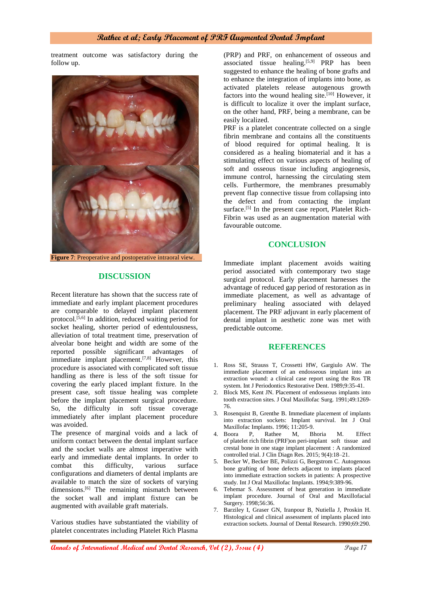#### **Rathee et al; Early Placement of PRF Augmented Dental Implant**

treatment outcome was satisfactory during the follow up.



**Figure 7**: Preoperative and postoperative intraoral view.

## **DISCUSSION**

Recent literature has shown that the success rate of immediate and early implant placement procedures are comparable to delayed implant placement protocol.<sup> $[5,6]$ </sup> In addition, reduced waiting period for socket healing, shorter period of edentulousness, alleviation of total treatment time, preservation of alveolar bone height and width are some of the reported possible significant advantages of immediate implant placement.<sup>[7,8]</sup> However, this procedure is associated with complicated soft tissue handling as there is less of the soft tissue for covering the early placed implant fixture. In the present case, soft tissue healing was complete before the implant placement surgical procedure. So, the difficulty in soft tissue coverage immediately after implant placement procedure was avoided.

The presence of marginal voids and a lack of uniform contact between the dental implant surface and the socket walls are almost imperative with early and immediate dental implants. In order to combat this difficulty, various surface configurations and diameters of dental implants are available to match the size of sockets of varying dimensions.<sup>[6]</sup> The remaining mismatch between the socket wall and implant fixture can be augmented with available graft materials.

Various studies have substantiated the viability of platelet concentrates including Platelet Rich Plasma

(PRP) and PRF, on enhancement of osseous and associated tissue healing.<sup>[5,9]</sup> PRP has been suggested to enhance the healing of bone grafts and to enhance the integration of implants into bone, as activated platelets release autogenous growth factors into the wound healing site.<sup>[10]</sup> However, it is difficult to localize it over the implant surface, on the other hand, PRF, being a membrane, can be easily localized.

PRF is a platelet concentrate collected on a single fibrin membrane and contains all the constituents of blood required for optimal healing. It is considered as a healing biomaterial and it has a stimulating effect on various aspects of healing of soft and osseous tissue including angiogenesis, immune control, harnessing the circulating stem cells. Furthermore, the membranes presumably prevent flap connective tissue from collapsing into the defect and from contacting the implant surface.<sup>[5]</sup> In the present case report, Platelet Rich-Fibrin was used as an augmentation material with favourable outcome.

## **CONCLUSION**

Immediate implant placement avoids waiting period associated with contemporary two stage surgical protocol. Early placement harnesses the advantage of reduced gap period of restoration as in immediate placement, as well as advantage of preliminary healing associated with delayed placement. The PRF adjuvant in early placement of dental implant in aesthetic zone was met with predictable outcome.

#### **REFERENCES**

- 1. Ross SE, Strauss T, Crossetti HW, Gargiulo AW. The immediate placement of an endosseous implant into an extraction wound: a clinical case report using the Ros TR system. Int J Periodontics Restorative Dent. 1989;9:35-41.
- 2. Block MS, Kent JN. Placement of endosseous implants into tooth extraction sites. J Oral Maxillofac Surg. 1991;49:1269- 76.
- 3. Rosenquist B, Grenthe B. Immediate placement of implants into extraction sockets: Implant survival. Int J Oral Maxillofac Implants. 1996; 11:205-9.
- 4. Boora P, Rathee M, Bhoria M. Effect of platelet rich fibrin (PRF)on peri-implant soft tissue and crestal bone in one stage implant placement : A randomized controlled trial. J Clin Diagn Res. 2015; 9(4):18–21.
- 5. Becker W, Becker BE, Polizzi G, Bergstrom C. Autogenous bone grafting of bone defects adjacent to implants placed into immediate extraction sockets in patients: A prospective study. Int J Oral Maxillofac Implants. 1994;9:389-96.
- 6. Tehemar S. Assessment of heat generation in immediate implant procedure. Journal of Oral and Maxillofacial Surgery. 1998;56:36.
- 7. Barziley I, Graser GN, Iranpour B, Nutiella J, Proskin H. Histological and clinical assessment of implants placed into extraction sockets. Journal of Dental Research. 1990;69:290.